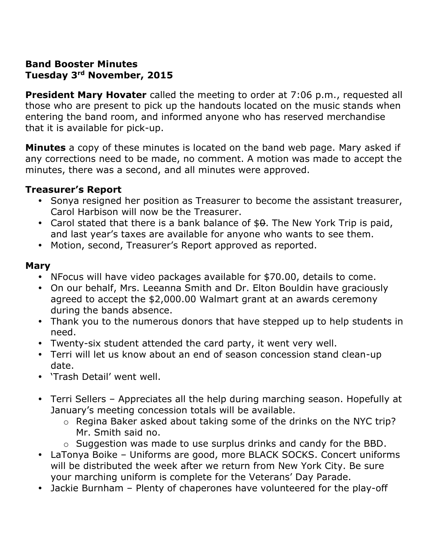## **Band Booster Minutes Tuesday 3rd November, 2015**

**President Mary Hovater** called the meeting to order at 7:06 p.m., requested all those who are present to pick up the handouts located on the music stands when entering the band room, and informed anyone who has reserved merchandise that it is available for pick-up.

**Minutes** a copy of these minutes is located on the band web page. Mary asked if any corrections need to be made, no comment. A motion was made to accept the minutes, there was a second, and all minutes were approved.

## **Treasurer's Report**

- Sonya resigned her position as Treasurer to become the assistant treasurer, Carol Harbison will now be the Treasurer.
- Carol stated that there is a bank balance of  $$0.$  The New York Trip is paid, and last year's taxes are available for anyone who wants to see them.
- Motion, second, Treasurer's Report approved as reported.

#### **Mary**

- NFocus will have video packages available for \$70.00, details to come.
- On our behalf, Mrs. Leeanna Smith and Dr. Elton Bouldin have graciously agreed to accept the \$2,000.00 Walmart grant at an awards ceremony during the bands absence.
- Thank you to the numerous donors that have stepped up to help students in need.
- Twenty-six student attended the card party, it went very well.
- Terri will let us know about an end of season concession stand clean-up date.
- 'Trash Detail' went well.
- Terri Sellers Appreciates all the help during marching season. Hopefully at January's meeting concession totals will be available.
	- o Regina Baker asked about taking some of the drinks on the NYC trip? Mr. Smith said no.
	- o Suggestion was made to use surplus drinks and candy for the BBD.
- LaTonya Boike Uniforms are good, more BLACK SOCKS. Concert uniforms will be distributed the week after we return from New York City. Be sure your marching uniform is complete for the Veterans' Day Parade.
- Jackie Burnham Plenty of chaperones have volunteered for the play-off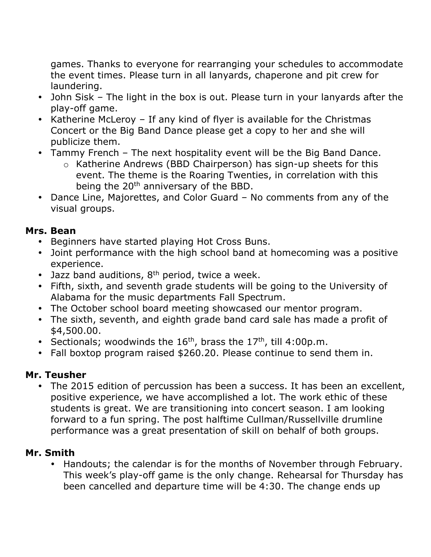games. Thanks to everyone for rearranging your schedules to accommodate the event times. Please turn in all lanyards, chaperone and pit crew for laundering.

- John Sisk The light in the box is out. Please turn in your lanyards after the play-off game.
- Katherine McLeroy If any kind of flyer is available for the Christmas Concert or the Big Band Dance please get a copy to her and she will publicize them.
- Tammy French The next hospitality event will be the Big Band Dance.
	- o Katherine Andrews (BBD Chairperson) has sign-up sheets for this event. The theme is the Roaring Twenties, in correlation with this being the 20<sup>th</sup> anniversary of the BBD.
- Dance Line, Majorettes, and Color Guard No comments from any of the visual groups.

## **Mrs. Bean**

- Beginners have started playing Hot Cross Buns.
- Joint performance with the high school band at homecoming was a positive experience.
- Jazz band auditions,  $8<sup>th</sup>$  period, twice a week.
- Fifth, sixth, and seventh grade students will be going to the University of Alabama for the music departments Fall Spectrum.
- The October school board meeting showcased our mentor program.
- The sixth, seventh, and eighth grade band card sale has made a profit of \$4,500.00.
- Sectionals; woodwinds the  $16<sup>th</sup>$ , brass the  $17<sup>th</sup>$ , till 4:00p.m.
- Fall boxtop program raised \$260.20. Please continue to send them in.

# **Mr. Teusher**

 The 2015 edition of percussion has been a success. It has been an excellent, positive experience, we have accomplished a lot. The work ethic of these students is great. We are transitioning into concert season. I am looking forward to a fun spring. The post halftime Cullman/Russellville drumline performance was a great presentation of skill on behalf of both groups.

# **Mr. Smith**

 Handouts; the calendar is for the months of November through February. This week's play-off game is the only change. Rehearsal for Thursday has been cancelled and departure time will be 4:30. The change ends up